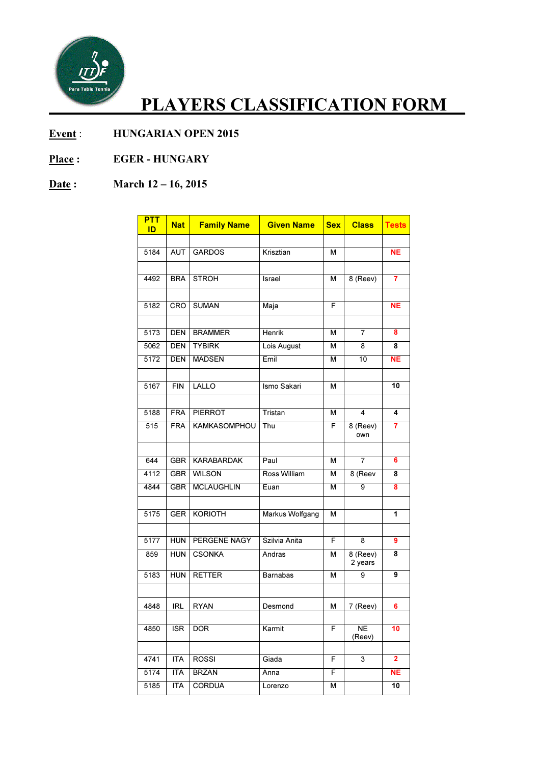

## PLAYERS CLASSIFICATION FORM\_\_

- Event : HUNGARIAN OPEN 2015
- Place : EGER HUNGARY

## Date: March 12 – 16, 2015

| <b>PTT</b><br>ID | <b>Nat</b> | <b>Family Name</b>  | <b>Given Name</b> | <b>Sex</b> | <b>Class</b>        | <b>Tests</b>    |
|------------------|------------|---------------------|-------------------|------------|---------------------|-----------------|
|                  |            |                     |                   |            |                     |                 |
| 5184             | <b>AUT</b> | <b>GARDOS</b>       | Krisztian         | М          |                     | <b>NE</b>       |
|                  |            |                     |                   |            |                     |                 |
| 4492             | <b>BRA</b> | <b>STROH</b>        | Israel            | М          | $8$ (Reev)          | $\overline{7}$  |
|                  |            |                     |                   |            |                     |                 |
| 5182             | CRO        | <b>SUMAN</b>        | Maja              | F          |                     | <b>NE</b>       |
|                  |            |                     |                   |            |                     |                 |
| 5173             | <b>DEN</b> | <b>BRAMMER</b>      | <b>Henrik</b>     | М          | 7                   | 8               |
| 5062             | <b>DEN</b> | <b>TYBIRK</b>       | Lois August       | м          | 8                   | 8               |
| 5172             | <b>DEN</b> | <b>MADSEN</b>       | Emil              | M          | 10                  | <b>NE</b>       |
|                  |            |                     |                   |            |                     |                 |
| 5167             | <b>FIN</b> | LALLO               | Ismo Sakari       | М          |                     | 10              |
|                  | <b>FRA</b> |                     |                   |            |                     |                 |
| 5188             |            | <b>PIERROT</b>      | Tristan           | м          | 4                   | 4               |
| 515              | <b>FRA</b> | <b>KAMKASOMPHOU</b> | Thu               | F          | 8 (Reev)<br>own     | 7               |
| 644              | <b>GBR</b> | <b>KARABARDAK</b>   | Paul              | М          | 7                   | 6               |
| 4112             | <b>GBR</b> | <b>WILSON</b>       | Ross William      | м          | 8 (Reev             | 8               |
| 4844             | <b>GBR</b> | <b>MCLAUGHLIN</b>   | Euan              | м          | 9                   | 8               |
|                  |            |                     |                   |            |                     |                 |
| 5175             | <b>GER</b> | <b>KORIOTH</b>      | Markus Wolfgang   | М          |                     | 1               |
|                  |            |                     |                   |            |                     |                 |
| 5177             | <b>HUN</b> | PERGENE NAGY        | Szilvia Anita     | F          | 8                   | 9               |
| 859              | <b>HUN</b> | <b>CSONKA</b>       | Andras            | М          | 8 (Reev)<br>2 years | 8               |
| 5183             | <b>HUN</b> | <b>RETTER</b>       | <b>Barnabas</b>   | м          | 9                   | 9               |
|                  |            |                     |                   |            |                     |                 |
| 4848             | IRL        | <b>RYAN</b>         | Desmond           | М          | 7 (Reev)            | 6               |
|                  |            |                     |                   |            |                     |                 |
| 4850             | <b>ISR</b> | <b>DOR</b>          | Karmit            | F          | <b>NE</b><br>(Reev) | 10              |
|                  |            |                     |                   |            |                     |                 |
| 4741             | <b>ITA</b> | <b>ROSSI</b>        | Giada             | F          | 3                   | $\overline{2}$  |
| 5174             | <b>ITA</b> | <b>BRZAN</b>        | Anna              | F          |                     | <b>NE</b>       |
| 5185             | <b>ITA</b> | <b>CORDUA</b>       | Lorenzo           | М          |                     | $\overline{10}$ |